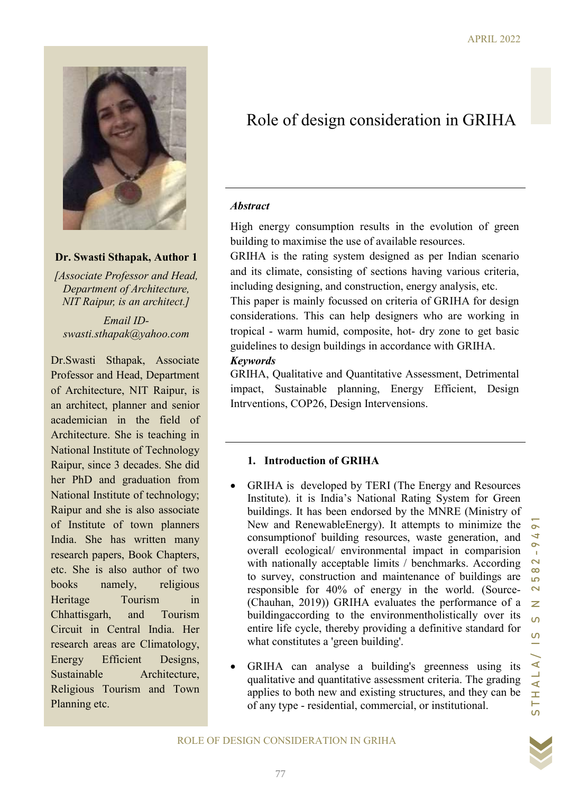

# Dr. Swasti Sthapak, Author 1

[Associate Professor and Head, Department of Architecture, NIT Raipur, is an architect.]

Email IDswasti.sthapak@yahoo.com

Dr.Swasti Sthapak, Associate Professor and Head, Department of Architecture, NIT Raipur, is an architect, planner and senior academician in the field of Architecture. She is teaching in National Institute of Technology Raipur, since 3 decades. She did her PhD and graduation from National Institute of technology; Raipur and she is also associate of Institute of town planners India. She has written many research papers, Book Chapters, etc. She is also author of two books namely, religious Heritage Tourism in Chhattisgarh, and Tourism Circuit in Central India. Her research areas are Climatology, Energy Efficient Designs, Sustainable Architecture, Religious Tourism and Town Planning etc.

# Role of design consideration in GRIHA

#### **Abstract**

High energy consumption results in the evolution of green building to maximise the use of available resources.

GRIHA is the rating system designed as per Indian scenario and its climate, consisting of sections having various criteria, including designing, and construction, energy analysis, etc.

This paper is mainly focussed on criteria of GRIHA for design considerations. This can help designers who are working in tropical - warm humid, composite, hot- dry zone to get basic guidelines to design buildings in accordance with GRIHA.

#### Keywords

GRIHA, Qualitative and Quantitative Assessment, Detrimental impact, Sustainable planning, Energy Efficient, Design Intrventions, COP26, Design Intervensions.

### 1. Introduction of GRIHA

- including designing, and construction, energy analysis, etc.<br>
This paper is mainly focused on criteria of GRIHA for design<br>
considerations. This can belp designers who are working in<br>
tropical warm humid, composite, hot GRIHA is developed by TERI (The Energy and Resources Institute). it is India's National Rating System for Green buildings. It has been endorsed by the MNRE (Ministry of New and RenewableEnergy). It attempts to minimize the consumptionof building resources, waste generation, and overall ecological/ environmental impact in comparision with nationally acceptable limits / benchmarks. According to survey, construction and maintenance of buildings are responsible for 40% of energy in the world. (Source- (Chauhan, 2019)) GRIHA evaluates the performance of a buildingaccording to the environmentholistically over its entire life cycle, thereby providing a definitive standard for what constitutes a 'green building'.
	- GRIHA can analyse a building's greenness using its qualitative and quantitative assessment criteria. The grading applies to both new and existing structures, and they can be of any type - residential, commercial, or institutional.

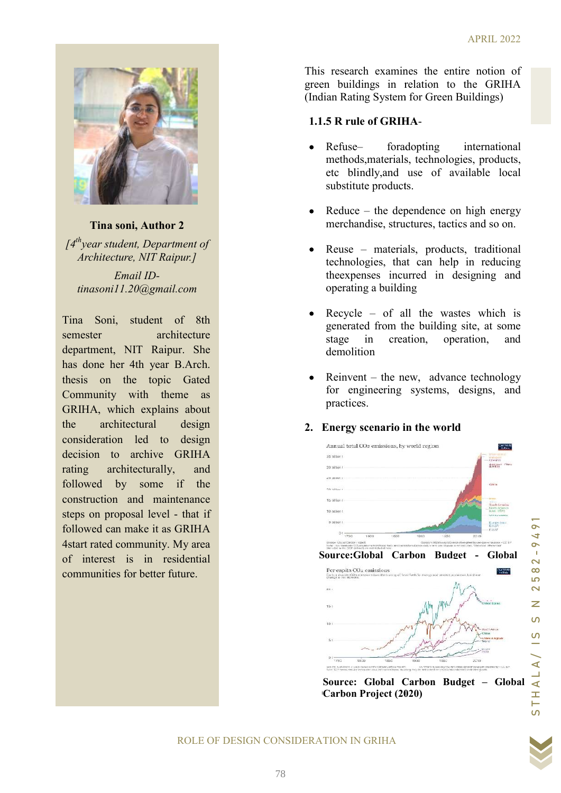

Tina soni, Author 2  $I4<sup>th</sup>$  vear student, Department of Architecture, NIT Raipur.] Email IDtinasoni11.20@gmail.com

Tina Soni, student of 8th semester architecture department, NIT Raipur. She has done her 4th year B.Arch. thesis on the topic Gated Community with theme as GRIHA, which explains about the architectural design consideration led to design decision to archive GRIHA rating architecturally, and followed by some if the construction and maintenance steps on proposal level - that i followed can make it as GRIHA 4 start rated community. My area<br>of interest is in residential of interest is in residential communities for better future. Soni, student of 8th<br>
er architecture<br>
nene, NIT Raipur. She<br>
nene her 4th year B.Arch.<br>
on the topic Gated<br>
unity with theme as<br>  $\lambda$ , which explains about<br>
architectural design<br>
ration led to design<br>
n to archive GRIHA<br> This research examines the entire notion of green buildings in relation to the GRIHA (Indian Rating System for Green Buildings)

# 1.1.5 R rule of GRIHA -

- Refuse– foradopting methods,materials, technologies, products,<br>etc blindly,and use of available local etc blindly,and use of available substitute products. international
- Reduce the dependence on high energy merchandise, structures, tactics and so on.
- Reuse materials, products, traditional technologies, that can help in reducing theexpenses incurred in designing and operating a building
- Recycle of all the wastes which is generated from the building site, at some stage in creation, operation, and demolition
- Reinvent the new, advance technology for engineering systems, designs, and practices.

# 2. Energy scenario in the world



STHALA/ IS S N 2582-9491



#### ROLE OF DESIGN CONSIDERATION IN GRIHA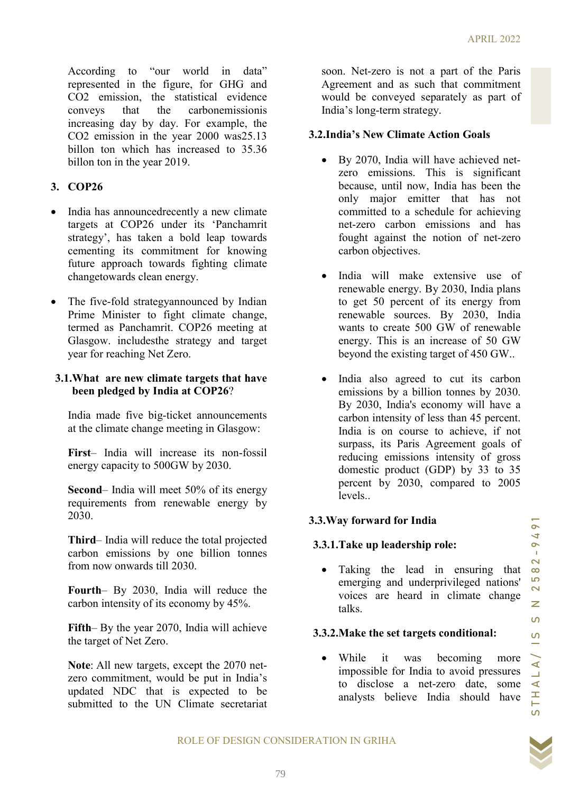According to "our world in data" represented in the figure, for GHG and CO2 emission, the statistical evidence conveys that the carbonemissionis increasing day by day. For example, the CO2 emission in the year 2000 was25.13 billon ton which has increased to 35.36 billon ton in the year 2019.

# 3. COP26

- India has announcedrecently a new climate targets at COP26 under its 'Panchamrit strategy', has taken a bold leap towards cementing its commitment for knowing future approach towards fighting climate changetowards clean energy.
- The five-fold strategyannounced by Indian Prime Minister to fight climate change, termed as Panchamrit. COP26 meeting at Glasgow. includesthe strategy and target year for reaching Net Zero.

#### 3.1.What are new climate targets that have been pledged by India at COP26?

India made five big-ticket announcements at the climate change meeting in Glasgow:

First– India will increase its non-fossil energy capacity to 500GW by 2030.

Second– India will meet 50% of its energy requirements from renewable energy by 2030.

Third– India will reduce the total projected carbon emissions by one billion tonnes from now onwards till 2030.

Fourth– By 2030, India will reduce the carbon intensity of its economy by 45%.

Fifth– By the year 2070, India will achieve the target of Net Zero.

Note: All new targets, except the 2070 netzero commitment, would be put in India's updated NDC that is expected to be submitted to the UN Climate secretariat soon. Net-zero is not a part of the Paris Agreement and as such that commitment would be conveyed separately as part of India's long-term strategy.

#### 3.2.India's New Climate Action Goals

- By 2070, India will have achieved netzero emissions. This is significant because, until now, India has been the only major emitter that has not committed to a schedule for achieving net-zero carbon emissions and has fought against the notion of net-zero carbon objectives.
- India will make extensive use of renewable energy. By 2030, India plans to get 50 percent of its energy from renewable sources. By 2030, India wants to create 500 GW of renewable energy. This is an increase of 50 GW beyond the existing target of 450 GW..
- Stags.<br>
Since the comparison of the servel and some of the servel and the control of the servel of the servel of the servel of the servel of the state of DOGW of renewable energy. This is an increase of 50 GW beyond the e India also agreed to cut its carbon emissions by a billion tonnes by 2030. By 2030, India's economy will have a carbon intensity of less than 45 percent. India is on course to achieve, if not surpass, its Paris Agreement goals of reducing emissions intensity of gross domestic product (GDP) by 33 to 35 percent by 2030, compared to 2005 levels..

### 3.3.Way forward for India

#### 3.3.1.Take up leadership role:

• Taking the lead in ensuring that emerging and underprivileged nations' voices are heard in climate change talks.

#### 3.3.2.Make the set targets conditional:

 While it was becoming more impossible for India to avoid pressures to disclose a net-zero date, some analysts believe India should have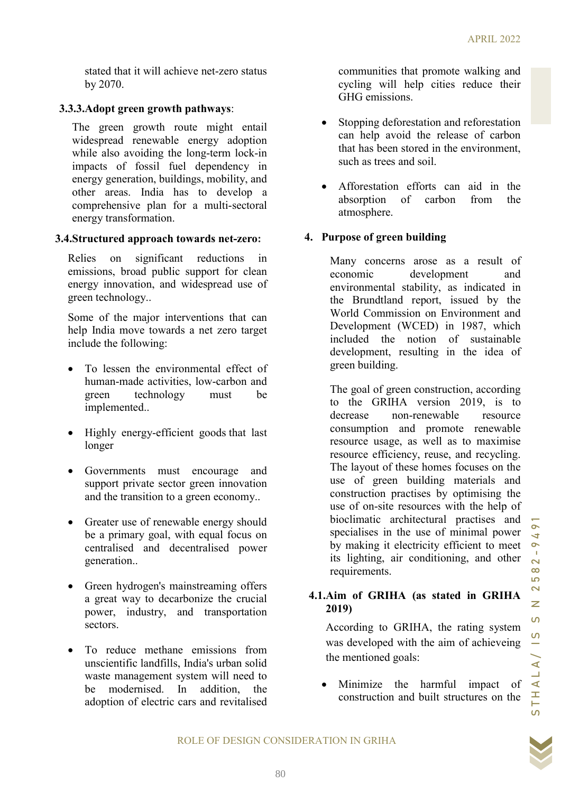stated that it will achieve net-zero status by 2070.

#### 3.3.3.Adopt green growth pathways:

The green growth route might entail widespread renewable energy adoption while also avoiding the long-term lock-in impacts of fossil fuel dependency in energy generation, buildings, mobility, and other areas. India has to develop a comprehensive plan for a multi-sectoral energy transformation.

#### 3.4.Structured approach towards net-zero:

Relies on significant reductions in emissions, broad public support for clean energy innovation, and widespread use of green technology..

Some of the major interventions that can help India move towards a net zero target include the following:

- To lessen the environmental effect of human-made activities, low-carbon and green technology must be implemented..
- Highly energy-efficient goods that last longer
- Governments must encourage and support private sector green innovation and the transition to a green economy..
- Greater use of renewable energy should be a primary goal, with equal focus on centralised and decentralised power generation..
- Green hydrogen's mainstreaming offers a great way to decarbonize the crucial power, industry, and transportation sectors.
- To reduce methane emissions from unscientific landfills, India's urban solid waste management system will need to be modernised. In addition, the adoption of electric cars and revitalised

communities that promote walking and cycling will help cities reduce their GHG emissions.

- Stopping deforestation and reforestation can help avoid the release of carbon that has been stored in the environment, such as trees and soil.
- Afforestation efforts can aid in the absorption of carbon from the atmosphere.

#### 4. Purpose of green building

Many concerns arose as a result of economic development and environmental stability, as indicated in the Brundtland report, issued by the World Commission on Environment and Development (WCED) in 1987, which included the notion of sustainable development, resulting in the idea of green building.

widespread use of<br>
environmental stability, as indicated in<br>
the Brundfala eighth, is<br>
and the World Commission on Environment and<br>
in the World Commission on Environment and<br>
included the notion of sustainable<br>
developme The goal of green construction, according to the GRIHA version 2019, is to decrease non-renewable resource consumption and promote renewable resource usage, as well as to maximise resource efficiency, reuse, and recycling. The layout of these homes focuses on the use of green building materials and construction practises by optimising the use of on-site resources with the help of bioclimatic architectural practises and specialises in the use of minimal power by making it electricity efficient to meet its lighting, air conditioning, and other requirements.

### 4.1.Aim of GRIHA (as stated in GRIHA 2019)

According to GRIHA, the rating system was developed with the aim of achieveing the mentioned goals:

• Minimize the harmful impact of construction and built structures on the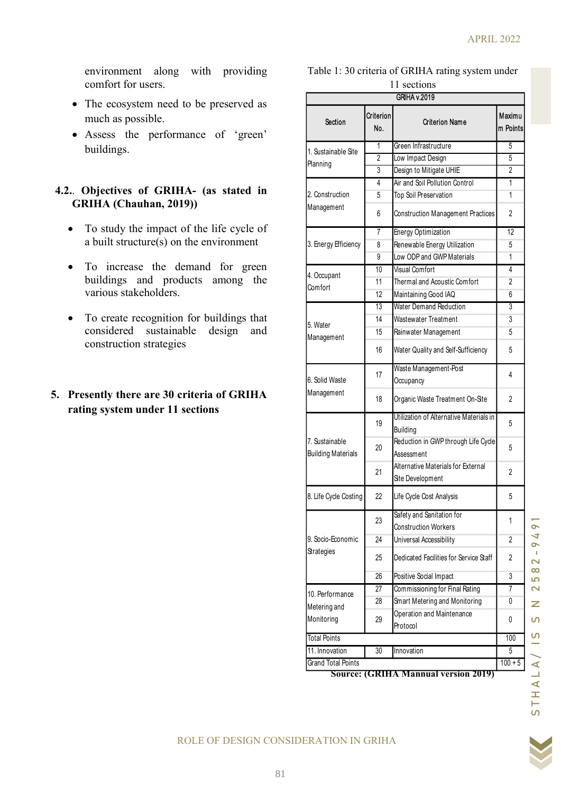environment along with providing comfort for users.

- The ecosystem need to be preserved as much as possible.
- Assess the performance of 'green' buildings.

### 4.2.. Objectives of GRIHA- (as stated in GRIHA (Chauhan, 2019))

- To study the impact of the life cycle of a built structure(s) on the environment
- To increase the demand for green buildings and products among the various stakeholders.
- To create recognition for buildings that considered sustainable design and construction strategies

# 5. Presently there are 30 criteria of GRIHA rating system under 11 sections

| providing                                   |                     |                                                                  |                                                          |  |
|---------------------------------------------|---------------------|------------------------------------------------------------------|----------------------------------------------------------|--|
|                                             |                     | Table 1: 30 criteria of GRIHA rating system under<br>11 sections |                                                          |  |
|                                             | <b>GRIHA v.2019</b> |                                                                  |                                                          |  |
| I to be preserved as<br>Section             | Criterion<br>No.    | <b>Criterion Name</b>                                            | Maximu<br>m Points                                       |  |
| mance of 'green'                            | $\overline{1}$      | Green Infrastructure                                             | $5\overline{)}$                                          |  |
| Sustainable Site                            | $\overline{2}$      | Low Impact Design                                                | $5\overline{)}$                                          |  |
| Planning                                    | $\mathbf{3}$        | Design to Mitigate UHIE                                          | $\overline{2}$                                           |  |
|                                             | $\overline{4}$      | Air and Soil Pollution Control                                   | $\mathbf{1}$                                             |  |
| HA- (as stated in<br>2. Construction        | $\sqrt{5}$          | Top Soil Preservation                                            | $\mathbf{1}$                                             |  |
| Management                                  | $\,6\,$             | Construction Management Practices                                | $\overline{2}$                                           |  |
| of the life cycle of                        | $\overline{7}$      | Energy Optimization                                              | 12                                                       |  |
| n the environment<br>3. Energy Efficiency   | 8                   | Renewable Energy Utilization                                     | 5                                                        |  |
|                                             | $9\,$               | Low ODP and GWP Materials                                        | $\mathbf{1}$                                             |  |
| demand for green                            | 10                  | <b>Visual Comfort</b>                                            | 4                                                        |  |
| 4. Occupant<br>ducts among the              | 11                  | Thermal and Acoustic Comfort                                     | $\overline{2}$                                           |  |
| Comfort                                     | 12                  | Maintaining Good IAQ                                             | 6                                                        |  |
|                                             | 13                  | Water Demand Reduction                                           | 3                                                        |  |
| n for buildings that                        | 14                  | Wastewater Treatment                                             | $\mathbf{3}$                                             |  |
| 5. Water<br>design and<br>Management        | 15                  | Rainwater Management                                             | 5                                                        |  |
|                                             | 16                  | Water Quality and Self-Sufficiency                               | $5\,$                                                    |  |
| 6. Solid Waste                              | 17                  | Waste Management-Post<br>Occupancy                               | $\overline{4}$                                           |  |
| Management<br>criteria of GRIHA             | 18                  | Organic Waste Treatment On-Site                                  | $\overline{2}$                                           |  |
|                                             | 19                  | Utilization of Alternative Materials in                          |                                                          |  |
|                                             |                     | Building                                                         | $5\phantom{.0}$                                          |  |
| 7. Sustainable<br><b>Building Materials</b> | 20                  | Reduction in GWP through Life Cycle<br>Assessment                | $5\phantom{.0}$                                          |  |
|                                             | 21                  | Alternative Materials for External                               | $\overline{2}$                                           |  |
| 8. Life Cycle Costing                       | 22                  | Site Development<br>Life Cycle Cost Analysis                     | $5\,$                                                    |  |
|                                             |                     | Safety and Sanitation for                                        |                                                          |  |
|                                             | 23                  | Construction Workers                                             | $\mathbf{1}$                                             |  |
| 9. Socio-Economic                           | 24                  | Universal Accessibility                                          | $\overline{2}$                                           |  |
| Strategies                                  | 25                  | Dedicated Facilities for Service Staff                           | $\overline{2}$                                           |  |
|                                             | 26                  | Positive Social Impact                                           | $\overline{3}$                                           |  |
|                                             | 27                  | Commissioning for Final Rating                                   | $\overline{7}$                                           |  |
| 10. Performance                             | 28                  | Smart Metering and Monitoring                                    | $\mathbf 0$                                              |  |
| Metering and                                |                     | Operation and Maintenance                                        |                                                          |  |
| Monitoring                                  | 29                  | Protocol                                                         | $\mathsf{0}$                                             |  |
| <b>Total Points</b>                         |                     |                                                                  | 100                                                      |  |
| 11. Innovation                              | 30                  | Innovation                                                       | 5                                                        |  |
| Grand Total Points                          |                     |                                                                  | $100 + 5$<br><b>Source: (GRIHA Mannual version 2019)</b> |  |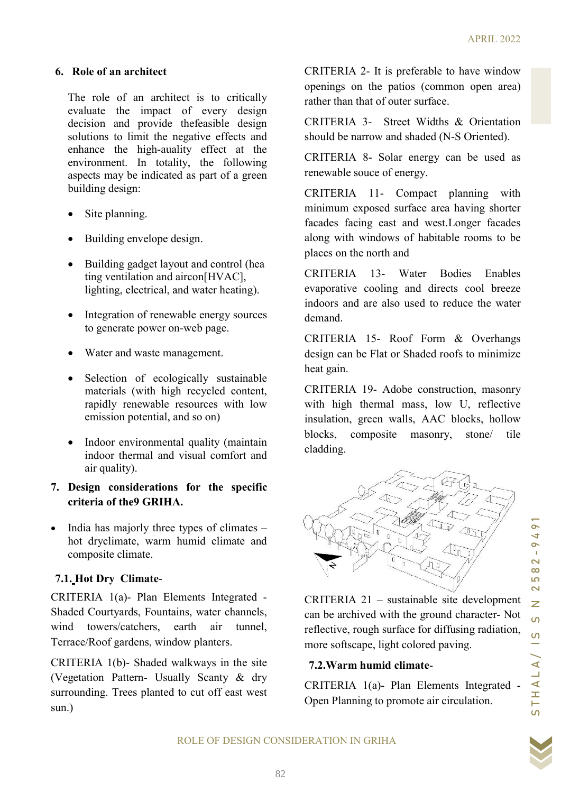#### 6. Role of an architect

The role of an architect is to critically evaluate the impact of every design decision and provide thefeasible design solutions to limit the negative effects and enhance the high-auality effect at the environment. In totality, the following aspects may be indicated as part of a green building design:

- Site planning.
- Building envelope design.
- Building gadget layout and control (hea ting ventilation and aircon[HVAC], lighting, electrical, and water heating).
- Integration of renewable energy sources to generate power on-web page.
- Water and waste management.
- Selection of ecologically sustainable materials (with high recycled content, rapidly renewable resources with low emission potential, and so on)
- Indoor environmental quality (maintain indoor thermal and visual comfort and air quality).
- 7. Design considerations for the specific criteria of the9 GRIHA.
- $\bullet$  India has majorly three types of climates hot dryclimate, warm humid climate and composite climate.

# 7.1. Hot Dry Climate-

CRITERIA 1(a)- Plan Elements Integrated - Shaded Courtyards, Fountains, water channels, wind towers/catchers, earth air tunnel, Terrace/Roof gardens, window planters.

CRITERIA 1(b)- Shaded walkways in the site (Vegetation Pattern- Usually Scanty & dry surrounding. Trees planted to cut off east west sun.)

CRITERIA 2- It is preferable to have window openings on the patios (common open area) rather than that of outer surface.

CRITERIA 3- Street Widths & Orientation should be narrow and shaded (N-S Oriented).

CRITERIA 8- Solar energy can be used as renewable souce of energy.

CRITERIA 11- Compact planning with minimum exposed surface area having shorter facades facing east and west.Longer facades along with windows of habitable rooms to be places on the north and

CRITERIA 13- Water Bodies Enables evaporative cooling and directs cool breeze indoors and are also used to reduce the water demand.

CRITERIA 15- Roof Form & Overhangs design can be Flat or Shaded roofs to minimize heat gain.

CRITERIA 19- Adobe construction, masonry with high thermal mass, low U, reflective insulation, green walls, AAC blocks, hollow blocks, composite masonry, stone/ tile cladding.



CRITERIA 21 – sustainable site development can be archived with the ground character- Not reflective, rough surface for diffusing radiation, more softscape, light colored paving.

# 7.2.Warm humid climate-

CRITERIA 1(a)- Plan Elements Integrated - Open Planning to promote air circulation.

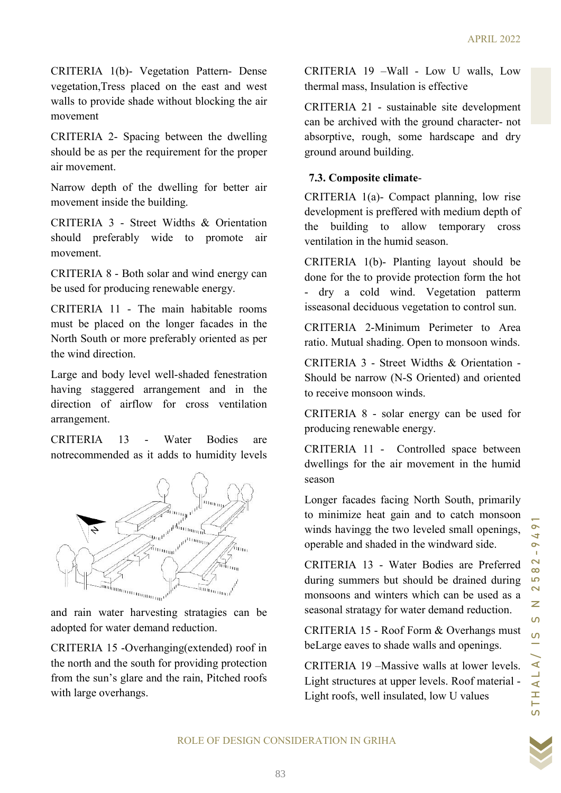CRITERIA 1(b)- Vegetation Pattern- Dense vegetation,Tress placed on the east and west walls to provide shade without blocking the air movement

CRITERIA 2- Spacing between the dwelling should be as per the requirement for the proper air movement.

Narrow depth of the dwelling for better air movement inside the building.

CRITERIA 3 - Street Widths & Orientation should preferably wide to promote air movement.

CRITERIA 8 - Both solar and wind energy can be used for producing renewable energy.

CRITERIA 11 - The main habitable rooms must be placed on the longer facades in the North South or more preferably oriented as per the wind direction.

Large and body level well-shaded fenestration having staggered arrangement and in the direction of airflow for cross ventilation arrangement.

CRITERIA 13 - Water Bodies are notrecommended as it adds to humidity levels



and rain water harvesting stratagies can be adopted for water demand reduction.

CRITERIA 15 -Overhanging(extended) roof in the north and the south for providing protection from the sun's glare and the rain, Pitched roofs with large overhangs.

CRITERIA 19 –Wall - Low U walls, Low thermal mass, Insulation is effective

CRITERIA 21 - sustainable site development can be archived with the ground character- not absorptive, rough, some hardscape and dry ground around building.

# 7.3. Composite climate-

CRITERIA 1(a)- Compact planning, low rise development is preffered with medium depth of the building to allow temporary cross ventilation in the humid season.

CRITERIA 1(b)- Planting layout should be done for the to provide protection form the hot - dry a cold wind. Vegetation patterm isseasonal deciduous vegetation to control sun.

CRITERIA 2-Minimum Perimeter to Area ratio. Mutual shading. Open to monsoon winds.

CRITERIA 3 - Street Widths & Orientation - Should be narrow (N-S Oriented) and oriented to receive monsoon winds.

CRITERIA 8 - solar energy can be used for producing renewable energy.

CRITERIA 11 - Controlled space between dwellings for the air movement in the humid season

Longer facades facing North South, primarily to minimize heat gain and to catch monsoon winds havingg the two leveled small openings, operable and shaded in the windward side.

and the control of the intervention from the not and the set fraction of the control of the control of the control of the control of the control of the control of the control of the control of the control of the control o CRITERIA 13 - Water Bodies are Preferred during summers but should be drained during monsoons and winters which can be used as a seasonal stratagy for water demand reduction.

CRITERIA 15 - Roof Form & Overhangs must beLarge eaves to shade walls and openings.

CRITERIA 19 –Massive walls at lower levels. Light structures at upper levels. Roof material - Light roofs, well insulated, low U values